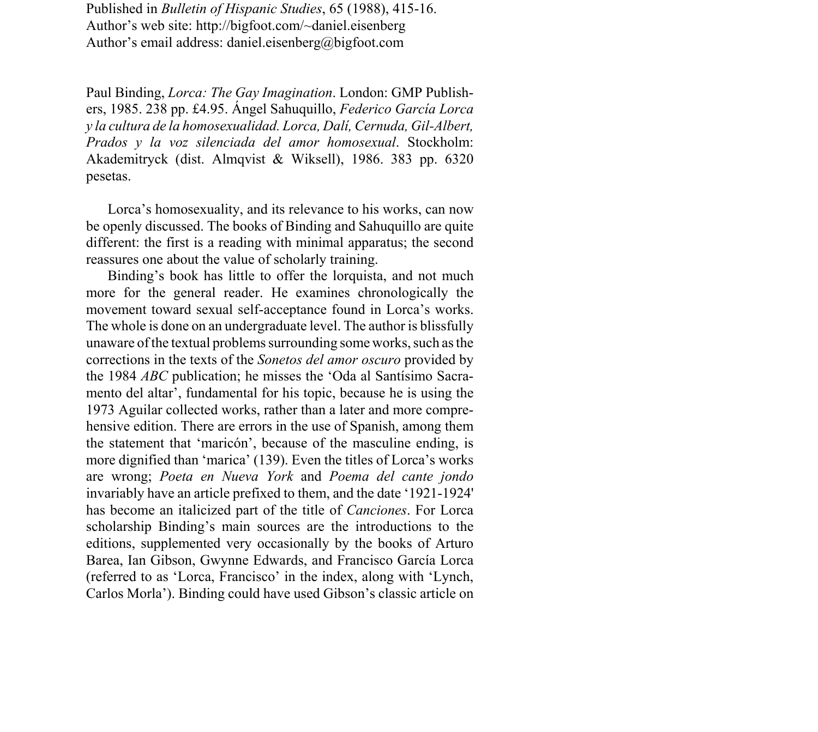Published in *Bulletin of Hispanic Studies*, 65 (1988), 415-16. Author's web site: http://bigfoot.com/~daniel.eisenberg Author's email address: daniel.eisenberg@bigfoot.com

Paul Binding, *Lorca: The Gay Imagination*. London: GMP Publishers, 1985. 238 pp. £4.95. £ngel Sahuquillo, *Federico GarcÌa Lorca y la cultura de la homosexualidad. Lorca, DalÌ, Cernuda, Gil-Albert, Prados y la voz silenciada del amor homosexual*. Stockholm: Akademitryck (dist. Almqvist & Wiksell), 1986. 383 pp. 6320 pesetas.

Lorca's homosexuality, and its relevance to his works, can now be openly discussed. The books of Binding and Sahuquillo are quite different: the first is a reading with minimal apparatus; the second reassures one about the value of scholarly training.

Binding's book has little to offer the lorquista, and not much more for the general reader. He examines chronologically the movement toward sexual self-acceptance found in Lorca's works. The whole is done on an undergraduate level. The author is blissfully unaware of the textual problems surrounding some works, such as the corrections in the texts of the *Sonetos del amor oscuro* provided by the 1984 *ABC* publication; he misses the 'Oda al Santísimo Sacramento del altar', fundamental for his topic, because he is using the 1973 Aguilar collected works, rather than a later and more comprehensive edition. There are errors in the use of Spanish, among them the statement that 'maricon', because of the masculine ending, is more dignified than 'marica' (139). Even the titles of Lorca's works are wrong; *Poeta en Nueva York* and *Poema del cante jondo* invariably have an article prefixed to them, and the date '1921-1924' has become an italicized part of the title of *Canciones*. For Lorca scholarship Binding's main sources are the introductions to the editions, supplemented very occasionally by the books of Arturo Barea, Ian Gibson, Gwynne Edwards, and Francisco García Lorca (referred to as 'Lorca, Francisco' in the index, along with 'Lynch, Carlos Morla<sup>7</sup>). Binding could have used Gibson's classic article on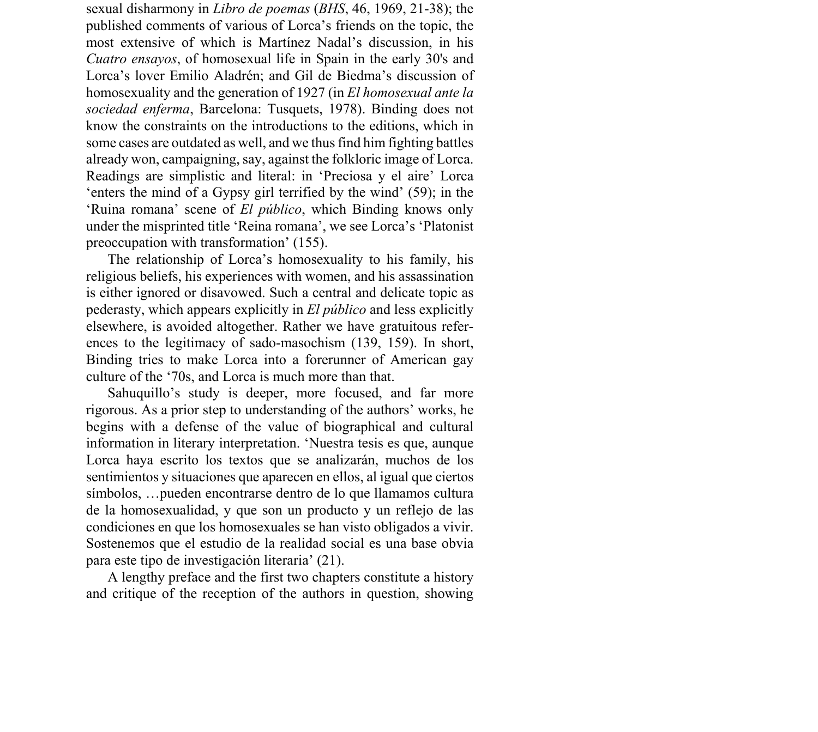sexual disharmony in *Libro de poemas* (*BHS*, 46, 1969, 21-38); the published comments of various of Lorca's friends on the topic, the most extensive of which is Martínez Nadal's discussion, in his *Cuatro ensayos*, of homosexual life in Spain in the early 30's and Lorca's lover Emilio Aladrén; and Gil de Biedma's discussion of homosexuality and the generation of 1927 (in *El homosexual ante la sociedad enferma*, Barcelona: Tusquets, 1978). Binding does not know the constraints on the introductions to the editions, which in some cases are outdated as well, and we thus find him fighting battles already won, campaigning, say, against the folkloric image of Lorca. Readings are simplistic and literal: in 'Preciosa y el aire' Lorca 'enters the mind of a Gypsy girl terrified by the wind'  $(59)$ ; in the 'Ruina romana' scene of *El público*, which Binding knows only under the misprinted title 'Reina romana', we see Lorca's 'Platonist preoccupation with transformation $^{\prime}$  (155).

The relationship of Lorca's homosexuality to his family, his religious beliefs, his experiences with women, and his assassination is either ignored or disavowed. Such a central and delicate topic as pederasty, which appears explicitly in *El p˙blico* and less explicitly elsewhere, is avoided altogether. Rather we have gratuitous references to the legitimacy of sado-masochism (139, 159). In short, Binding tries to make Lorca into a forerunner of American gay culture of the '70s, and Lorca is much more than that.

Sahuquillo's study is deeper, more focused, and far more rigorous. As a prior step to understanding of the authors' works, he begins with a defense of the value of biographical and cultural information in literary interpretation. 'Nuestra tesis es que, aunque Lorca haya escrito los textos que se analizarán, muchos de los sentimientos y situaciones que aparecen en ellos, al igual que ciertos símbolos, ... pueden encontrarse dentro de lo que llamamos cultura de la homosexualidad, y que son un producto y un reflejo de las condiciones en que los homosexuales se han visto obligados a vivir. Sostenemos que el estudio de la realidad social es una base obvia para este tipo de investigación literaria<sup> $(21)$ </sup>.

A lengthy preface and the first two chapters constitute a history and critique of the reception of the authors in question, showing